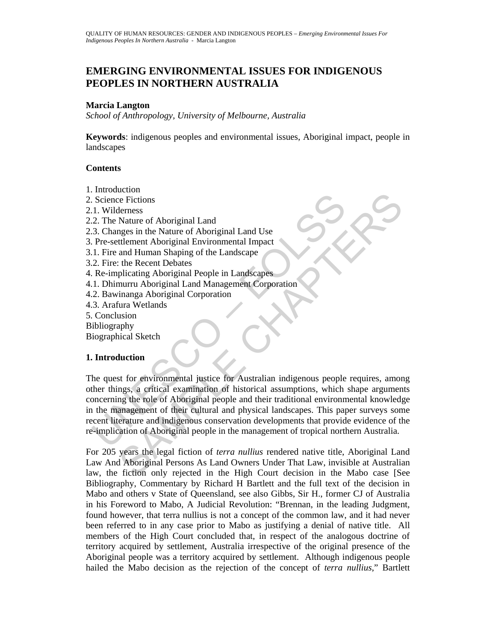# **EMERGING ENVIRONMENTAL ISSUES FOR INDIGENOUS PEOPLES IN NORTHERN AUSTRALIA**

#### **Marcia Langton**

*School of Anthropology, University of Melbourne, Australia* 

**Keywords**: indigenous peoples and environmental issues, Aboriginal impact, people in landscapes

#### **Contents**

- 1. Introduction
- 2. Science Fictions
- 2.1. Wilderness
- 2.2. The Nature of Aboriginal Land
- 2.3. Changes in the Nature of Aboriginal Land Use
- 3. Pre-settlement Aboriginal Environmental Impact
- 3.1. Fire and Human Shaping of the Landscape
- 3.2. Fire: the Recent Debates
- 4. Re-implicating Aboriginal People in Landscapes
- 4.1. Dhimurru Aboriginal Land Management Corporation
- 4.2. Bawinanga Aboriginal Corporation
- 4.3. Arafura Wetlands
- 5. Conclusion
- Bibliography
- Biographical Sketch

## **1. Introduction**

Science Fictions<br>
1. Wilderness<br>
2. The Nature of Aboriginal Land<br>
3. Changes in the Nature of Aboriginal Land Use<br>
Pre-settlement Aboriginal Environmental Impact<br>
1. Fire and Human Shaping of the Landscape<br>
2. Fire: the R Le Fictions<br>
Nature of Aboriginal Land<br>
New therms of Aboriginal Land<br>
Mages in the Nature of Aboriginal Land<br>
Identicant Aboriginal Environmental Impact<br>
the Recent Debates<br>
plicating Aboriginal People in Landscapes<br>
plic The quest for environmental justice for Australian indigenous people requires, among other things, a critical examination of historical assumptions, which shape arguments concerning the role of Aboriginal people and their traditional environmental knowledge in the management of their cultural and physical landscapes. This paper surveys some recent literature and indigenous conservation developments that provide evidence of the re-implication of Aboriginal people in the management of tropical northern Australia.

For 205 years the legal fiction of *terra nullius* rendered native title, Aboriginal Land Law And Aboriginal Persons As Land Owners Under That Law, invisible at Australian law, the fiction only rejected in the High Court decision in the Mabo case [See Bibliography, Commentary by Richard H Bartlett and the full text of the decision in Mabo and others v State of Queensland, see also Gibbs, Sir H., former CJ of Australia in his Foreword to Mabo, A Judicial Revolution: "Brennan, in the leading Judgment, found however, that terra nullius is not a concept of the common law, and it had never been referred to in any case prior to Mabo as justifying a denial of native title. All members of the High Court concluded that, in respect of the analogous doctrine of territory acquired by settlement, Australia irrespective of the original presence of the Aboriginal people was a territory acquired by settlement. Although indigenous people hailed the Mabo decision as the rejection of the concept of *terra nullius*," Bartlett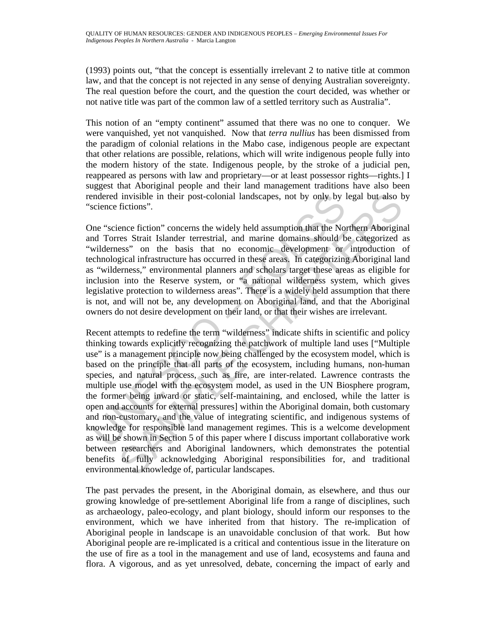(1993) points out, "that the concept is essentially irrelevant 2 to native title at common law, and that the concept is not rejected in any sense of denying Australian sovereignty. The real question before the court, and the question the court decided, was whether or not native title was part of the common law of a settled territory such as Australia".

This notion of an "empty continent" assumed that there was no one to conquer. We were vanquished, yet not vanquished. Now that *terra nullius* has been dismissed from the paradigm of colonial relations in the Mabo case, indigenous people are expectant that other relations are possible, relations, which will write indigenous people fully into the modern history of the state. Indigenous people, by the stroke of a judicial pen, reappeared as persons with law and proprietary—or at least possessor rights—rights.] I suggest that Aboriginal people and their land management traditions have also been rendered invisible in their post-colonial landscapes, not by only by legal but also by "science fictions".

One "science fiction" concerns the widely held assumption that the Northern Aboriginal and Torres Strait Islander terrestrial, and marine domains should be categorized as "wilderness" on the basis that no economic development or introduction of technological infrastructure has occurred in these areas. In categorizing Aboriginal land as "wilderness," environmental planners and scholars target these areas as eligible for inclusion into the Reserve system, or "a national wilderness system, which gives legislative protection to wilderness areas". There is a widely held assumption that there is not, and will not be, any development on Aboriginal land, and that the Aboriginal owners do not desire development on their land, or that their wishes are irrelevant.

endered invisible in their post-colonial landscapes, not by only by ly<br>science fictions".<br>the "science fiction" concerns the widely held assumption that the Norther Scrait Islander terrestrial, and marine domains should b<br> invisible in their post-colonial landscapes, not by only by legal but also h<br>fictions".<br>ence fiction" concerns the widely held assumption that the Northern Aborigins<br>rese Strait Islander trerestrial, and marine domains sho Recent attempts to redefine the term "wilderness" indicate shifts in scientific and policy thinking towards explicitly recognizing the patchwork of multiple land uses ["Multiple use" is a management principle now being challenged by the ecosystem model, which is based on the principle that all parts of the ecosystem, including humans, non-human species, and natural process, such as fire, are inter-related. Lawrence contrasts the multiple use model with the ecosystem model, as used in the UN Biosphere program, the former being inward or static, self-maintaining, and enclosed, while the latter is open and accounts for external pressures] within the Aboriginal domain, both customary and non-customary, and the value of integrating scientific, and indigenous systems of knowledge for responsible land management regimes. This is a welcome development as will be shown in Section 5 of this paper where I discuss important collaborative work between researchers and Aboriginal landowners, which demonstrates the potential benefits of fully acknowledging Aboriginal responsibilities for, and traditional environmental knowledge of, particular landscapes.

The past pervades the present, in the Aboriginal domain, as elsewhere, and thus our growing knowledge of pre-settlement Aboriginal life from a range of disciplines, such as archaeology, paleo-ecology, and plant biology, should inform our responses to the environment, which we have inherited from that history. The re-implication of Aboriginal people in landscape is an unavoidable conclusion of that work. But how Aboriginal people are re-implicated is a critical and contentious issue in the literature on the use of fire as a tool in the management and use of land, ecosystems and fauna and flora. A vigorous, and as yet unresolved, debate, concerning the impact of early and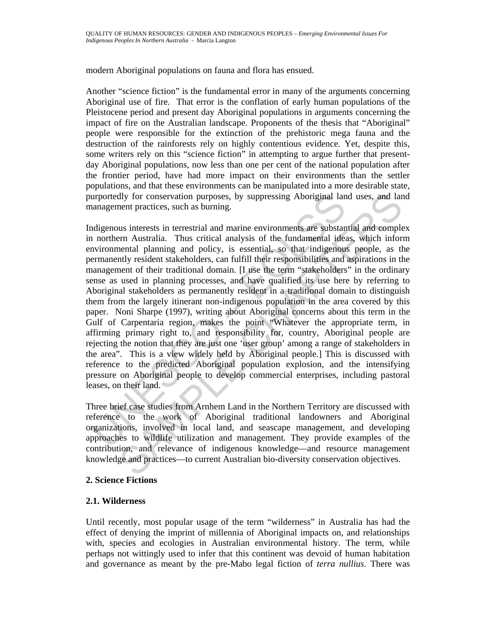modern Aboriginal populations on fauna and flora has ensued.

Another "science fiction" is the fundamental error in many of the arguments concerning Aboriginal use of fire. That error is the conflation of early human populations of the Pleistocene period and present day Aboriginal populations in arguments concerning the impact of fire on the Australian landscape. Proponents of the thesis that "Aboriginal" people were responsible for the extinction of the prehistoric mega fauna and the destruction of the rainforests rely on highly contentious evidence. Yet, despite this, some writers rely on this "science fiction" in attempting to argue further that presentday Aboriginal populations, now less than one per cent of the national population after the frontier period, have had more impact on their environments than the settler populations, and that these environments can be manipulated into a more desirable state, purportedly for conservation purposes, by suppressing Aboriginal land uses, and land management practices, such as burning.

urportedly for conservation purposes, by suppressing Aboriginal land<br>ananagement practices, such as burning.<br>
Indigenous interests in terrestrial and marine environments are substant<br>
northern Australia. Thus critical anal dly for conservation purposes, by suppressing Aboriginal land uses, and lanent practices, such as burning.<br>
us interests in terrestrial and marine environments are substantial and complemental and<br>
us interests in terrestr Indigenous interests in terrestrial and marine environments are substantial and complex in northern Australia. Thus critical analysis of the fundamental ideas, which inform environmental planning and policy, is essential, so that indigenous people, as the permanently resident stakeholders, can fulfill their responsibilities and aspirations in the management of their traditional domain. [I use the term "stakeholders" in the ordinary sense as used in planning processes, and have qualified its use here by referring to Aboriginal stakeholders as permanently resident in a traditional domain to distinguish them from the largely itinerant non-indigenous population in the area covered by this paper. Noni Sharpe (1997), writing about Aboriginal concerns about this term in the Gulf of Carpentaria region, makes the point "Whatever the appropriate term, in affirming primary right to, and responsibility for, country, Aboriginal people are rejecting the notion that they are just one 'user group' among a range of stakeholders in the area". This is a view widely held by Aboriginal people.] This is discussed with reference to the predicted Aboriginal population explosion, and the intensifying pressure on Aboriginal people to develop commercial enterprises, including pastoral leases, on their land.

Three brief case studies from Arnhem Land in the Northern Territory are discussed with reference to the work of Aboriginal traditional landowners and Aboriginal organizations, involved in local land, and seascape management, and developing approaches to wildlife utilization and management. They provide examples of the contribution, and relevance of indigenous knowledge—and resource management knowledge and practices—to current Australian bio-diversity conservation objectives.

## **2. Science Fictions**

## **2.1. Wilderness**

Until recently, most popular usage of the term "wilderness" in Australia has had the effect of denying the imprint of millennia of Aboriginal impacts on, and relationships with, species and ecologies in Australian environmental history. The term, while perhaps not wittingly used to infer that this continent was devoid of human habitation and governance as meant by the pre-Mabo legal fiction of *terra nullius*. There was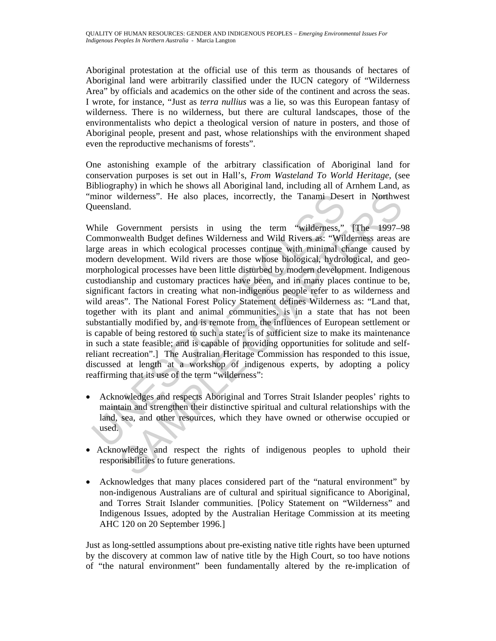Aboriginal protestation at the official use of this term as thousands of hectares of Aboriginal land were arbitrarily classified under the IUCN category of "Wilderness Area" by officials and academics on the other side of the continent and across the seas. I wrote, for instance, "Just as *terra nullius* was a lie, so was this European fantasy of wilderness. There is no wilderness, but there are cultural landscapes, those of the environmentalists who depict a theological version of nature in posters, and those of Aboriginal people, present and past, whose relationships with the environment shaped even the reproductive mechanisms of forests".

One astonishing example of the arbitrary classification of Aboriginal land for conservation purposes is set out in Hall's, *From Wasteland To World Heritage*, (see Bibliography) in which he shows all Aboriginal land, including all of Arnhem Land, as "minor wilderness". He also places, incorrectly, the Tanami Desert in Northwest Queensland.

minor wilderness". He also places, incorrectly, the Tanami Deserventiand.<br>
While Government persists in using the term "wilderness,"<br>
(ommonwealth Budget defines Wilderness and Wild Rivers as: "Wilderness,"<br>
(ommonwealth B wilderness". He also places, incorrectly, the Tanami Desert in Northweim,<br>
and.<br>
Government persists in using the term "wilderness," [The 1997–9<br>
mwealth Budget defines Wilderness and Wild Rivers as: "Wilderness areas an<br> While Government persists in using the term "wilderness," [The 1997–98] Commonwealth Budget defines Wilderness and Wild Rivers as: "Wilderness areas are large areas in which ecological processes continue with minimal change caused by modern development. Wild rivers are those whose biological, hydrological, and geomorphological processes have been little disturbed by modern development. Indigenous custodianship and customary practices have been, and in many places continue to be, significant factors in creating what non-indigenous people refer to as wilderness and wild areas". The National Forest Policy Statement defines Wilderness as: "Land that, together with its plant and animal communities, is in a state that has not been substantially modified by, and is remote from, the influences of European settlement or is capable of being restored to such a state; is of sufficient size to make its maintenance in such a state feasible; and is capable of providing opportunities for solitude and selfreliant recreation".] The Australian Heritage Commission has responded to this issue, discussed at length at a workshop of indigenous experts, by adopting a policy reaffirming that its use of the term "wilderness":

- Acknowledges and respects Aboriginal and Torres Strait Islander peoples' rights to maintain and strengthen their distinctive spiritual and cultural relationships with the land, sea, and other resources, which they have owned or otherwise occupied or used.
- Acknowledge and respect the rights of indigenous peoples to uphold their responsibilities to future generations.
- Acknowledges that many places considered part of the "natural environment" by non-indigenous Australians are of cultural and spiritual significance to Aboriginal, and Torres Strait Islander communities. [Policy Statement on "Wilderness" and Indigenous Issues, adopted by the Australian Heritage Commission at its meeting AHC 120 on 20 September 1996.]

Just as long-settled assumptions about pre-existing native title rights have been upturned by the discovery at common law of native title by the High Court, so too have notions of "the natural environment" been fundamentally altered by the re-implication of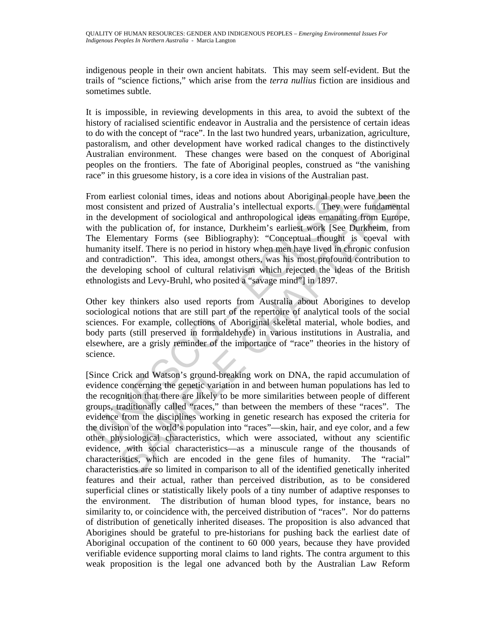indigenous people in their own ancient habitats. This may seem self-evident. But the trails of "science fictions," which arise from the *terra nullius* fiction are insidious and sometimes subtle.

It is impossible, in reviewing developments in this area, to avoid the subtext of the history of racialised scientific endeavor in Australia and the persistence of certain ideas to do with the concept of "race". In the last two hundred years, urbanization, agriculture, pastoralism, and other development have worked radical changes to the distinctively Australian environment. These changes were based on the conquest of Aboriginal peoples on the frontiers. The fate of Aboriginal peoples, construed as "the vanishing race" in this gruesome history, is a core idea in visions of the Australian past.

rom earliest colonial times, ideas and notions about Aboriginal peop<br>nost consistent and prized of Australia's intellectual exports. They w<br>inter development of sociological and anthropological and sa emanatin<br>the publicat From earliest colonial times, ideas and notions about Aboriginal people have been the most consistent and prized of Australia's intellectual exports. They were fundamental in the development of sociological and anthropological ideas emanating from Europe, with the publication of, for instance, Durkheim's earliest work [See Durkheim, from The Elementary Forms (see Bibliography): "Conceptual thought is coeval with humanity itself. There is no period in history when men have lived in chronic confusion and contradiction". This idea, amongst others, was his most profound contribution to the developing school of cultural relativism which rejected the ideas of the British ethnologists and Levy-Bruhl, who posited a "savage mind"] in 1897.

Other key thinkers also used reports from Australia about Aborigines to develop sociological notions that are still part of the repertoire of analytical tools of the social sciences. For example, collections of Aboriginal skeletal material, whole bodies, and body parts (still preserved in formaldehyde) in various institutions in Australia, and elsewhere, are a grisly reminder of the importance of "race" theories in the history of science.

rilest colonial times, ideas and notions about Aboriginal people have been th<br>sits colonial prized of Australia's intellectual exports. They were fundament<br>is vivelopment of sociological and anthropological ideas emanating [Since Crick and Watson's ground-breaking work on DNA, the rapid accumulation of evidence concerning the genetic variation in and between human populations has led to the recognition that there are likely to be more similarities between people of different groups, traditionally called "races," than between the members of these "races". The evidence from the disciplines working in genetic research has exposed the criteria for the division of the world's population into "races"—skin, hair, and eye color, and a few other physiological characteristics, which were associated, without any scientific evidence, with social characteristics—as a minuscule range of the thousands of characteristics, which are encoded in the gene files of humanity. The "racial" characteristics are so limited in comparison to all of the identified genetically inherited features and their actual, rather than perceived distribution, as to be considered superficial clines or statistically likely pools of a tiny number of adaptive responses to the environment. The distribution of human blood types, for instance, bears no similarity to, or coincidence with, the perceived distribution of "races". Nor do patterns of distribution of genetically inherited diseases. The proposition is also advanced that Aborigines should be grateful to pre-historians for pushing back the earliest date of Aboriginal occupation of the continent to 60 000 years, because they have provided verifiable evidence supporting moral claims to land rights. The contra argument to this weak proposition is the legal one advanced both by the Australian Law Reform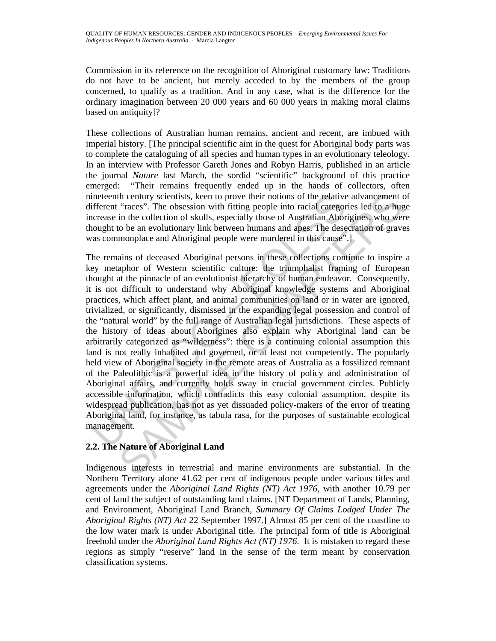Commission in its reference on the recognition of Aboriginal customary law: Traditions do not have to be ancient, but merely acceded to by the members of the group concerned, to qualify as a tradition. And in any case, what is the difference for the ordinary imagination between 20 000 years and 60 000 years in making moral claims based on antiquity]?

These collections of Australian human remains, ancient and recent, are imbued with imperial history. [The principal scientific aim in the quest for Aboriginal body parts was to complete the cataloguing of all species and human types in an evolutionary teleology. In an interview with Professor Gareth Jones and Robyn Harris, published in an article the journal *Nature* last March, the sordid "scientific" background of this practice emerged: "Their remains frequently ended up in the hands of collectors, often nineteenth century scientists, keen to prove their notions of the relative advancement of different "races". The obsession with fitting people into racial categories led to a huge increase in the collection of skulls, especially those of Australian Aborigines, who were thought to be an evolutionary link between humans and apes. The desecration of graves was commonplace and Aboriginal people were murdered in this cause".

intetenth century scientists, keen to prove their notions of the relative<br>inferent "races". The obsession with fitting people into racial categor<br>crease in the collection of skulls, especially those of Australian Abor<br>noug the century scientists, keen to prove their notions of the relative advancement c<br>
"races". The obsession with fitting people into racial categories led to a huge<br>cin the relation of skulls, especially those of Australian The remains of deceased Aboriginal persons in these collections continue to inspire a key metaphor of Western scientific culture: the triumphalist framing of European thought at the pinnacle of an evolutionist hierarchy of human endeavor. Consequently, it is not difficult to understand why Aboriginal knowledge systems and Aboriginal practices, which affect plant, and animal communities on land or in water are ignored, trivialized, or significantly, dismissed in the expanding legal possession and control of the "natural world" by the full range of Australian legal jurisdictions. These aspects of the history of ideas about Aborigines also explain why Aboriginal land can be arbitrarily categorized as "wilderness": there is a continuing colonial assumption this land is not really inhabited and governed, or at least not competently. The popularly held view of Aboriginal society in the remote areas of Australia as a fossilized remnant of the Paleolithic is a powerful idea in the history of policy and administration of Aboriginal affairs, and currently holds sway in crucial government circles. Publicly accessible information, which contradicts this easy colonial assumption, despite its widespread publication, has not as yet dissuaded policy-makers of the error of treating Aboriginal land, for instance, as tabula rasa, for the purposes of sustainable ecological management.

## **2.2. The Nature of Aboriginal Land**

Indigenous interests in terrestrial and marine environments are substantial. In the Northern Territory alone 41.62 per cent of indigenous people under various titles and agreements under the *Aboriginal Land Rights (NT) Act 1976,* with another 10.79 per cent of land the subject of outstanding land claims. [NT Department of Lands, Planning, and Environment, Aboriginal Land Branch, *Summary Of Claims Lodged Under The Aboriginal Rights (NT) Act* 22 September 1997.] Almost 85 per cent of the coastline to the low water mark is under Aboriginal title. The principal form of title is Aboriginal freehold under the *Aboriginal Land Rights Act (NT) 1976*. It is mistaken to regard these regions as simply "reserve" land in the sense of the term meant by conservation classification systems.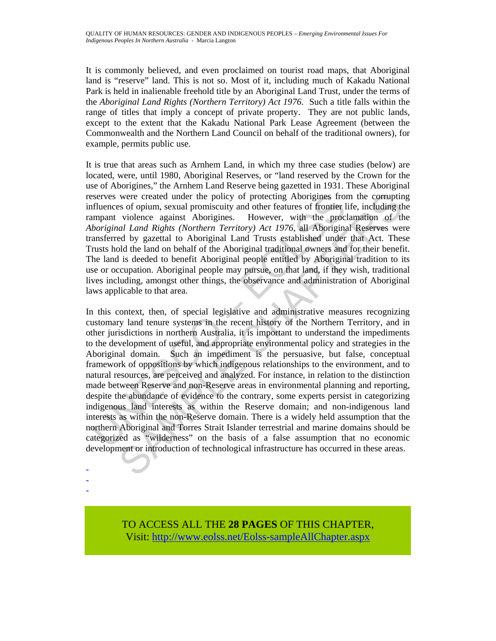It is commonly believed, and even proclaimed on tourist road maps, that Aboriginal land is "reserve" land. This is not so. Most of it, including much of Kakadu National Park is held in inalienable freehold title by an Aboriginal Land Trust, under the terms of the *Aboriginal Land Rights (Northern Territory) Act 1976*. Such a title falls within the range of titles that imply a concept of private property. They are not public lands, except to the extent that the Kakadu National Park Lease Agreement (between the Commonwealth and the Northern Land Council on behalf of the traditional owners), for example, permits public use.

It is true that areas such as Arnhem Land, in which my three case studies (below) are located, were, until 1980, Aboriginal Reserves, or "land reserved by the Crown for the use of Aborigines," the Arnhem Land Reserve being gazetted in 1931. These Aboriginal reserves were created under the policy of protecting Aborigines from the corrupting influences of opium, sexual promiscuity and other features of frontier life, including the rampant violence against Aborigines. However, with the proclamation of the *Aboriginal Land Rights (Northern Territory) Act 1976*, all Aboriginal Reserves were transferred by gazettal to Aboriginal Land Trusts established under that Act. These Trusts hold the land on behalf of the Aboriginal traditional owners and for their benefit. The land is deeded to benefit Aboriginal people entitled by Aboriginal tradition to its use or occupation. Aboriginal people may pursue, on that land, if they wish, traditional lives including, amongst other things, the observance and administration of Aboriginal laws applicable to that area.

serves were created under the policy of protecting Aborigines from<br>Enfluences of opium, sexual promiscuity and other features of frontier lumpant violence against Aborigins. However, with the proc-<br>boriginal Land Rights (N were created under the policy of protecting Aborigines from the coruptin<br>so fo opium, scxual promiscuity and other features of frontic life, including the<br>violence against Aborigines. However, with the proclamation of the In this context, then, of special legislative and administrative measures recognizing customary land tenure systems in the recent history of the Northern Territory, and in other jurisdictions in northern Australia, it is important to understand the impediments to the development of useful, and appropriate environmental policy and strategies in the Aboriginal domain. Such an impediment is the persuasive, but false, conceptual framework of oppositions by which indigenous relationships to the environment, and to natural resources, are perceived and analyzed. For instance, in relation to the distinction made between Reserve and non-Reserve areas in environmental planning and reporting, despite the abundance of evidence to the contrary, some experts persist in categorizing indigenous land interests as within the Reserve domain; and non-indigenous land interests as within the non-Reserve domain. There is a widely held assumption that the northern Aboriginal and Torres Strait Islander terrestrial and marine domains should be categorized as "wilderness" on the basis of a false assumption that no economic development or introduction of technological infrastructure has occurred in these areas.

- -

-

TO ACCESS ALL THE **28 PAGES** OF THIS CHAPTER, Visit: [http://www.eolss.net/Eolss-sampleAllChapter.aspx](https://www.eolss.net/ebooklib/sc_cart.aspx?File=E1-17-01-04)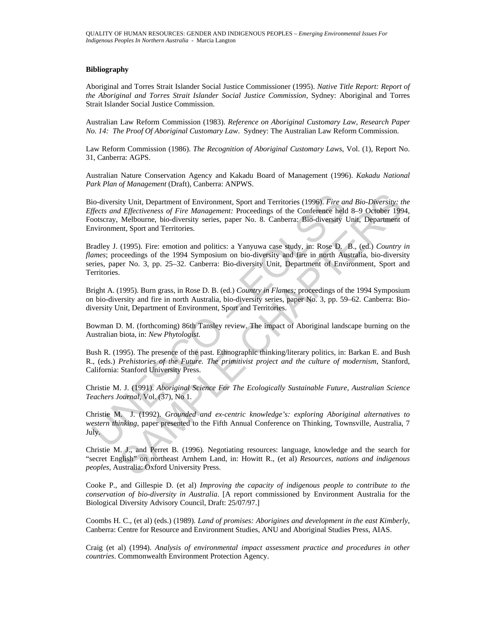#### **Bibliography**

Aboriginal and Torres Strait Islander Social Justice Commissioner (1995). *Native Title Report: Report of the Aboriginal and Torres Strait Islander Social Justice Commission*, Sydney: Aboriginal and Torres Strait Islander Social Justice Commission.

Australian Law Reform Commission (1983). *Reference on Aboriginal Customary Law, Research Paper No. 14: The Proof Of Aboriginal Customary Law*. Sydney: The Australian Law Reform Commission.

Law Reform Commission (1986). *The Recognition of Aboriginal Customary Laws*, Vol. (1), Report No. 31, Canberra: AGPS.

Australian Nature Conservation Agency and Kakadu Board of Management (1996). *Kakadu National Park Plan of Management* (Draft), Canberra: ANPWS.

Bio-diversity Unit, Department of Environment, Sport and Territories (1996). *Fire and Bio-Diversity: the Effects and Effectiveness of Fire Management:* Proceedings of the Conference held 8–9 October 1994*,*  Footscray, Melbourne, bio-diversity series, paper No. 8. Canberra: Bio-diversity Unit, Department of Environment, Sport and Territories.

io-diversity Unit, Department of Environment, Sport and Territories (1996). *Fire affects and Effectiveness of Fire Management:* Proceedings of the Conference helcotscray, Melbourne, bio-diversity series, paper No. 8. Canb ity Unit, Department of Environment, Sport and Territories (1996). *Fire and Bio-Diversity; the Highectiveness of Fire Management:* Proceedings of the Conference held 8-9 October 199<br>Melbourne, bio-diversity series, paper Bradley J. (1995). Fire: emotion and politics: a Yanyuwa case study, in: Rose D. B., (ed.) *Country in flames*; proceedings of the 1994 Symposium on bio-diversity and fire in north Australia, bio-diversity series, paper No. 3, pp. 25–32. Canberra: Bio-diversity Unit, Department of Environment, Sport and Territories.

Bright A. (1995). Burn grass, in Rose D. B. (ed.) *Country in Flames;* proceedings of the 1994 Symposium on bio-diversity and fire in north Australia, bio-diversity series, paper No. 3, pp. 59–62. Canberra: Biodiversity Unit, Department of Environment, Sport and Territories.

Bowman D. M. (forthcoming) 86th Tansley review. The impact of Aboriginal landscape burning on the Australian biota, in: *New Phytologist.* 

Bush R. (1995). The presence of the past. Ethnographic thinking/literary politics, in: Barkan E. and Bush R., (eds.) *Prehistories of the Future. The primitivist project and the culture of modernism*, Stanford, California: Stanford University Press.

Christie M. J. (1991). *Aboriginal Science For The Ecologically Sustainable Future*, *Australian Science Teachers Journal*, Vol. (37), No 1.

Christie M. J. (1992). *Grounded and ex-centric knowledge's: exploring Aboriginal alternatives to western thinking*, paper presented to the Fifth Annual Conference on Thinking, Townsville, Australia, 7 July.

Christie M. J., and Perret B. (1996). Negotiating resources: language, knowledge and the search for "secret English" on northeast Arnhem Land, in: Howitt R., (et al) *Resources, nations and indigenous peoples*, Australia: Oxford University Press.

Cooke P., and Gillespie D. (et al) *Improving the capacity of indigenous people to contribute to the conservation of bio-diversity in Australia*. [A report commissioned by Environment Australia for the Biological Diversity Advisory Council, Draft: 25/07/97.]

Coombs H. C., (et al) (eds.) (1989). *Land of promises: Aborigines and development in the east Kimberly*, Canberra: Centre for Resource and Environment Studies, ANU and Aboriginal Studies Press, AIAS.

Craig (et al) (1994). *Analysis of environmental impact assessment practice and procedures in other countries*. Commonwealth Environment Protection Agency.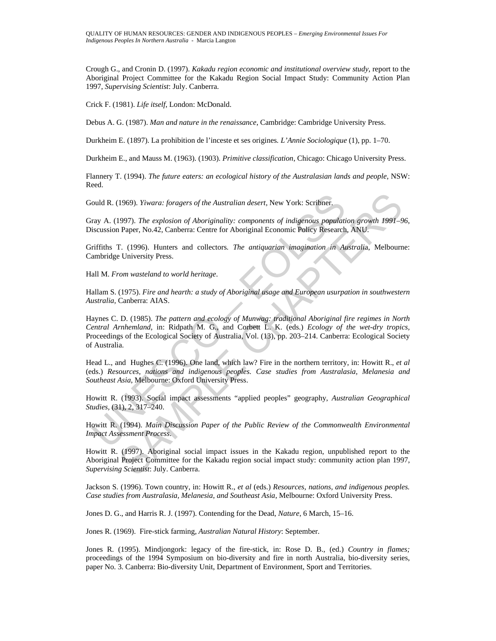Crough G., and Cronin D. (1997). *Kakadu region economic and institutional overview study*, report to the Aboriginal Project Committee for the Kakadu Region Social Impact Study: Community Action Plan 1997, *Supervising Scientist*: July. Canberra.

Crick F. (1981). *Life itself*, London: McDonald.

Debus A. G. (1987). *Man and nature in the renaissance*, Cambridge: Cambridge University Press.

Durkheim E. (1897). La prohibition de l'inceste et ses origines*. L'Annie Sociologique* (1), pp. 1–70.

Durkheim E., and Mauss M. (1963). (1903). *Primitive classification*, Chicago: Chicago University Press.

Flannery T. (1994). *The future eaters: an ecological history of the Australasian lands and people*, NSW: Reed.

Gould R. (1969). *Yiwara: foragers of the Australian desert*, New York: Scribner.

Gray A. (1997). *The explosion of Aboriginality: components of indigenous population growth 1991–96*, Discussion Paper, No.42, Canberra: Centre for Aboriginal Economic Policy Research, ANU.

Griffiths T. (1996). Hunters and collectors*. The antiquarian imagination in Australi*a, Melbourne: Cambridge University Press.

Hall M. *From wasteland to world heritage*.

Hallam S. (1975). *Fire and hearth: a study of Aboriginal usage and European usurpation in southwestern Australia,* Canberra: AIAS.

ould R. (1969). *Yiwara: foragers of the Australian desert*, New York: Scribner.<br>
ray A. (1997). *The explosion of Aboriginality: components of indigenous populatiscussion Paper, No.42, Canberra: Centre for Aboriginal Econ* 1969). *Yiwara: foragers of the Australian desert*, New York: Scribner.<br>
1997). *The explosion of Aboriginality: components of indigenous population growth 1991*<br>
1920, Paper, No.42, Canberra: Centre for Aboriginal Economi Haynes C. D. (1985). *The pattern and ecology of Munwag: traditional Aboriginal fire regimes in North Central Arnhemland*, in: Ridpath M. G., and Corbett L. K. (eds.) *Ecology of the wet-dry tropics,*  Proceedings of the Ecological Society of Australia, Vol. (13), pp. 203–214. Canberra: Ecological Society of Australia.

Head L., and Hughes C. (1996). One land, which law? Fire in the northern territory, in: Howitt R., *et al* (eds.) *Resources, nations and indigenous peoples. Case studies from Australasia, Melanesia and Southeast Asia*, Melbourne: Oxford University Press.

Howitt R. (1993). Social impact assessments "applied peoples" geography, *Australian Geographical Studies,* (31), 2, 317–240.

Howitt R. (1994). *Main Discussion Paper of the Public Review of the Commonwealth Environmental Impact Assessment Process*.

Howitt R. (1997). Aboriginal social impact issues in the Kakadu region, unpublished report to the Aboriginal Project Committee for the Kakadu region social impact study: community action plan 1997, *Supervising Scientist*: July. Canberra.

Jackson S. (1996). Town country, in: Howitt R., *et al* (eds.) *Resources, nations, and indigenous peoples. Case studies from Australasia, Melanesia, and Southeast Asia*, Melbourne: Oxford University Press.

Jones D. G., and Harris R. J. (1997). Contending for the Dead, *Nature*, 6 March, 15–16.

Jones R. (1969). Fire-stick farming, *Australian Natural History*: September.

Jones R. (1995). Mindjongork: legacy of the fire-stick, in: Rose D. B., (ed.) *Country in flames;*  proceedings of the 1994 Symposium on bio-diversity and fire in north Australia, bio-diversity series, paper No. 3. Canberra: Bio-diversity Unit, Department of Environment, Sport and Territories.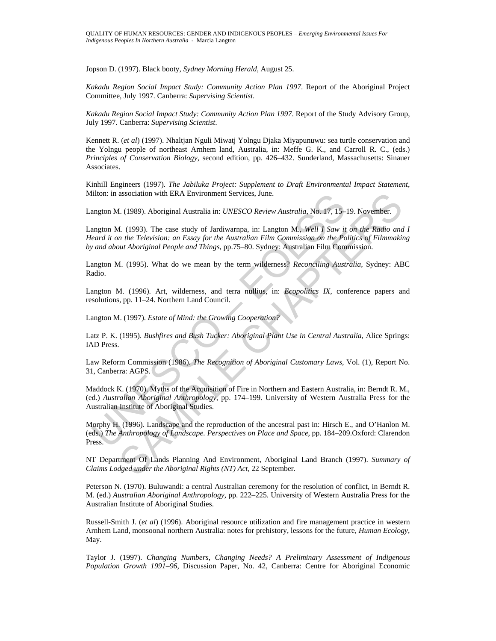Jopson D. (1997). Black booty, *Sydney Morning Herald*, August 25.

*Kakadu Region Social Impact Study: Community Action Plan 1997*. Report of the Aboriginal Project Committee, July 1997. Canberra: *Supervising Scientist*.

*Kakadu Region Social Impact Study: Community Action Plan 1997*. Report of the Study Advisory Group, July 1997. Canberra: *Supervising Scientist*.

Kennett R. (*et al*) (1997). Nhaltjan Nguli Miwatj Yolngu Djaka Miyapunuwu: sea turtle conservation and the Yolngu people of northeast Arnhem land, Australia, in: Meffe G. K., and Carroll R. C., (eds.) *Principles of Conservation Biology*, second edition, pp. 426–432. Sunderland, Massachusetts: Sinauer Associates.

Kinhill Engineers (1997). *The Jabiluka Project: Supplement to Draft Environmental Impact Statement*, Milton: in association with ERA Environment Services, June.

Langton M. (1989). Aboriginal Australia in: *UNESCO Review Australia*, No. 17, 15–19. November.

Ition: in association with EKA Environment Services, June.<br>
angton M. (1989). Aboriginal Australia in: *UNESCO Review Australia*, No. 17, 15-<br>
angton M. (1993). The case study of Jardiwarnpa, in: Langton M., Well 1 Saw it<br> association with ERA Environment Services, June.<br>
1. (1989). Aboriginal Australia in: *UNESCO Review Australia*, No. 17, 15–19. November.<br>
1. (1993). The case study of Jardiwarmpa, in: Langton M., Well I Saw it on the Radi Langton M. (1993). The case study of Jardiwarnpa, in: Langton M., *Well I Saw it on the Radio and I Heard it on the Television: an Essay for the Australian Film Commission on the Politics of Filmmaking by and about Aboriginal People and Things*, pp.75–80. Sydney: Australian Film Commission.

Langton M. (1995). What do we mean by the term wilderness? *Reconciling Australia,* Sydney: ABC Radio.

Langton M. (1996). Art, wilderness, and terra nullius, in: *Ecopolitics IX,* conference papers and resolutions, pp. 11–24. Northern Land Council.

Langton M. (1997). *Estate of Mind: the Growing Cooperation?* 

Latz P. K. (1995). *Bushfires and Bush Tucker: Aboriginal Plant Use in Central Australia*, Alice Springs: IAD Press.

Law Reform Commission (1986). *The Recognition of Aboriginal Customary Laws*, Vol. (1), Report No. 31, Canberra: AGPS.

Maddock K. (1970). Myths of the Acquisition of Fire in Northern and Eastern Australia, in: Berndt R. M., (ed.) *Australian Aboriginal Anthropology*, pp. 174–199. University of Western Australia Press for the Australian Institute of Aboriginal Studies.

Morphy H. (1996). Landscape and the reproduction of the ancestral past in: Hirsch E., and O'Hanlon M. (eds.) *The Anthropology of Landscape. Perspectives on Place and Space*, pp. 184–209.Oxford: Clarendon Press.

NT Department Of Lands Planning And Environment, Aboriginal Land Branch (1997). *Summary of Claims Lodged under the Aboriginal Rights (NT) Act*, 22 September.

Peterson N. (1970). Buluwandi: a central Australian ceremony for the resolution of conflict, in Berndt R. M. (ed.) *Australian Aboriginal Anthropology*, pp. 222–225. University of Western Australia Press for the Australian Institute of Aboriginal Studies.

Russell-Smith J. (*et al*) (1996). Aboriginal resource utilization and fire management practice in western Arnhem Land, monsoonal northern Australia: notes for prehistory, lessons for the future, *Human Ecology*, May.

Taylor J. (1997). *Changing Numbers, Changing Needs? A Preliminary Assessment of Indigenous Population Growth 1991–96*, Discussion Paper, No. 42, Canberra: Centre for Aboriginal Economic